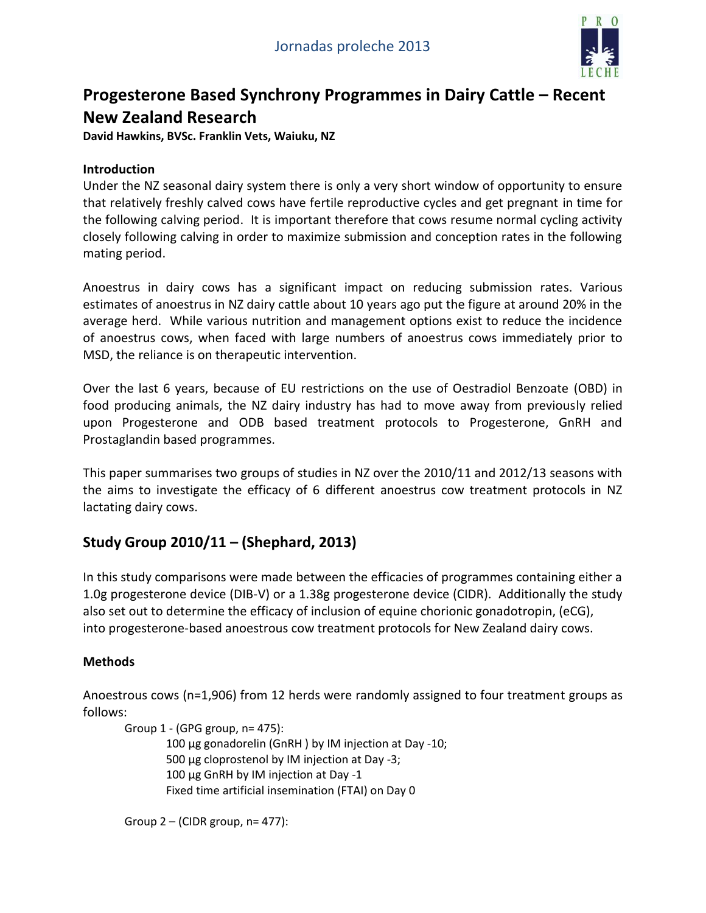

# **Progesterone Based Synchrony Programmes in Dairy Cattle – Recent New Zealand Research**

**David Hawkins, BVSc. Franklin Vets, Waiuku, NZ**

### **Introduction**

Under the NZ seasonal dairy system there is only a very short window of opportunity to ensure that relatively freshly calved cows have fertile reproductive cycles and get pregnant in time for the following calving period. It is important therefore that cows resume normal cycling activity closely following calving in order to maximize submission and conception rates in the following mating period.

Anoestrus in dairy cows has a significant impact on reducing submission rates. Various estimates of anoestrus in NZ dairy cattle about 10 years ago put the figure at around 20% in the average herd. While various nutrition and management options exist to reduce the incidence of anoestrus cows, when faced with large numbers of anoestrus cows immediately prior to MSD, the reliance is on therapeutic intervention.

Over the last 6 years, because of EU restrictions on the use of Oestradiol Benzoate (OBD) in food producing animals, the NZ dairy industry has had to move away from previously relied upon Progesterone and ODB based treatment protocols to Progesterone, GnRH and Prostaglandin based programmes.

This paper summarises two groups of studies in NZ over the 2010/11 and 2012/13 seasons with the aims to investigate the efficacy of 6 different anoestrus cow treatment protocols in NZ lactating dairy cows.

## **Study Group 2010/11 – (Shephard, 2013)**

In this study comparisons were made between the efficacies of programmes containing either a 1.0g progesterone device (DIB-V) or a 1.38g progesterone device (CIDR). Additionally the study also set out to determine the efficacy of inclusion of equine chorionic gonadotropin, (eCG), into progesterone-based anoestrous cow treatment protocols for New Zealand dairy cows.

#### **Methods**

Anoestrous cows (n=1,906) from 12 herds were randomly assigned to four treatment groups as follows:

Group 1 - (GPG group, n= 475): 100 μg gonadorelin (GnRH ) by IM injection at Day -10; 500 μg cloprostenol by IM injection at Day -3; 100 μg GnRH by IM injection at Day -1 Fixed time artificial insemination (FTAI) on Day 0

Group  $2 - (CIDR group, n = 477)$ :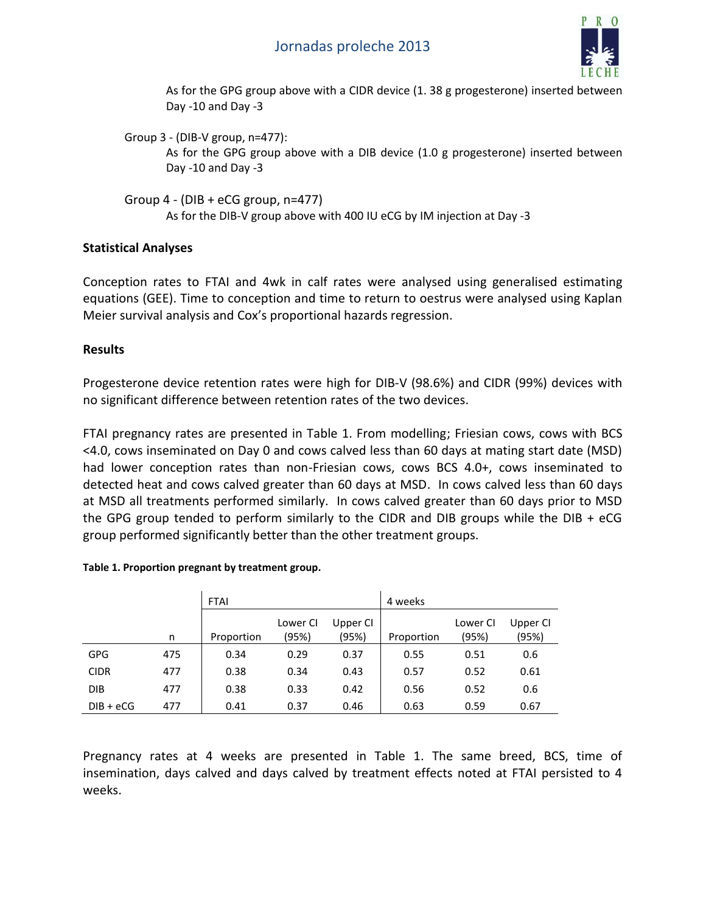

As for the GPG group above with a CIDR device (1. 38 g progesterone) inserted between Day -10 and Day -3

Group 3 - (DIB-V group, n=477): As for the GPG group above with a DIB device (1.0 g progesterone) inserted between Day -10 and Day -3

Group  $4 - (DIB + eCG group, n=477)$ As for the DIB-V group above with 400 IU eCG by IM injection at Day -3

#### **Statistical Analyses**

Conception rates to FTAI and 4wk in calf rates were analysed using generalised estimating equations (GEE). Time to conception and time to return to oestrus were analysed using Kaplan Meier survival analysis and Cox's proportional hazards regression.

### **Results**

Progesterone device retention rates were high for DIB-V (98.6%) and CIDR (99%) devices with no significant difference between retention rates of the two devices.

FTAI pregnancy rates are presented in Table 1. From modelling; Friesian cows, cows with BCS <4.0, cows inseminated on Day 0 and cows calved less than 60 days at mating start date (MSD) had lower conception rates than non-Friesian cows, cows BCS 4.0+, cows inseminated to detected heat and cows calved greater than 60 days at MSD. In cows calved less than 60 days at MSD all treatments performed similarly. In cows calved greater than 60 days prior to MSD the GPG group tended to perform similarly to the CIDR and DIB groups while the DIB + eCG group performed significantly better than the other treatment groups.

|             |     | <b>FTAI</b> |                   |                   | 4 weeks    |                   |                   |
|-------------|-----|-------------|-------------------|-------------------|------------|-------------------|-------------------|
|             | n   | Proportion  | Lower CI<br>(95%) | Upper CI<br>(95%) | Proportion | Lower CI<br>(95%) | Upper CI<br>(95%) |
| <b>GPG</b>  | 475 | 0.34        | 0.29              | 0.37              | 0.55       | 0.51              | 0.6               |
| <b>CIDR</b> | 477 | 0.38        | 0.34              | 0.43              | 0.57       | 0.52              | 0.61              |
| <b>DIB</b>  | 477 | 0.38        | 0.33              | 0.42              | 0.56       | 0.52              | 0.6               |
| $DIB + eCG$ | 477 | 0.41        | 0.37              | 0.46              | 0.63       | 0.59              | 0.67              |

#### **Table 1. Proportion pregnant by treatment group.**

Pregnancy rates at 4 weeks are presented in Table 1. The same breed, BCS, time of insemination, days calved and days calved by treatment effects noted at FTAI persisted to 4 weeks.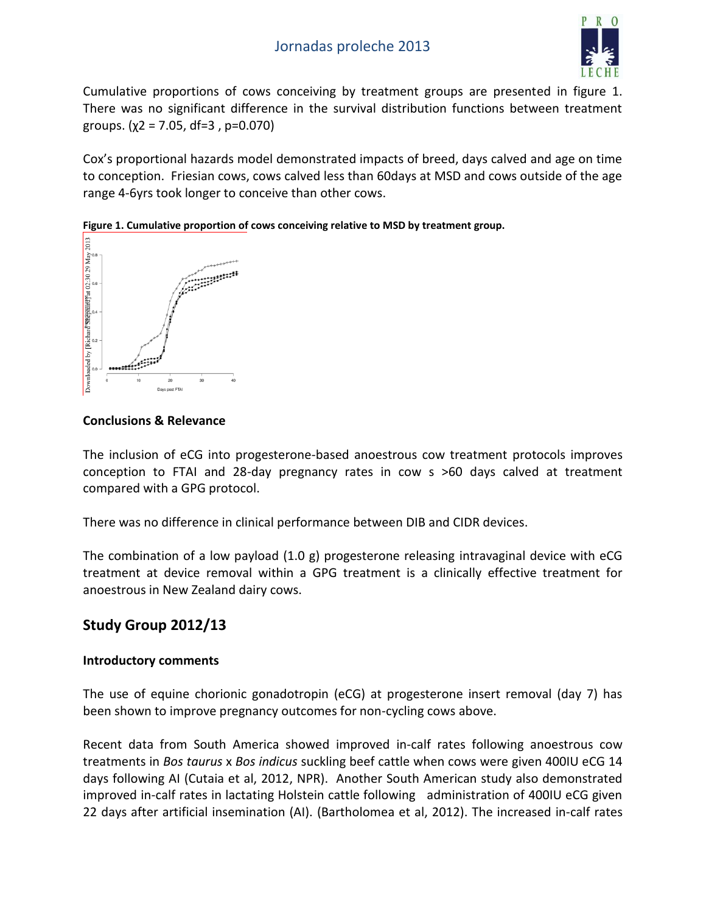

Cumulative proportions of cows conceiving by treatment groups are presented in figure 1. There was no significant difference in the survival distribution functions between treatment groups. ( $χ$ 2 = 7.05, df=3, p=0.070)

Cox's proportional hazards model demonstrated impacts of breed, days calved and age on time to conception. Friesian cows, cows calved less than 60days at MSD and cows outside of the age range 4-6yrs took longer to conceive than other cows.





#### **Conclusions & Relevance**

The inclusion of eCG into progesterone-based anoestrous cow treatment protocols improves conception to FTAI and 28-day pregnancy rates in cow s >60 days calved at treatment compared with a GPG protocol.

There was no difference in clinical performance between DIB and CIDR devices.

The combination of a low payload (1.0 g) progesterone releasing intravaginal device with eCG treatment at device removal within a GPG treatment is a clinically effective treatment for anoestrous in New Zealand dairy cows.

## **Study Group 2012/13**

#### **Introductory comments**

The use of equine chorionic gonadotropin (eCG) at progesterone insert removal (day 7) has been shown to improve pregnancy outcomes for non-cycling cows above.

Recent data from South America showed improved in-calf rates following anoestrous cow treatments in *Bos taurus* x *Bos indicus* suckling beef cattle when cows were given 400IU eCG 14 days following AI (Cutaia et al, 2012, NPR). Another South American study also demonstrated improved in-calf rates in lactating Holstein cattle following administration of 400IU eCG given 22 days after artificial insemination (AI). (Bartholomea et al, 2012). The increased in-calf rates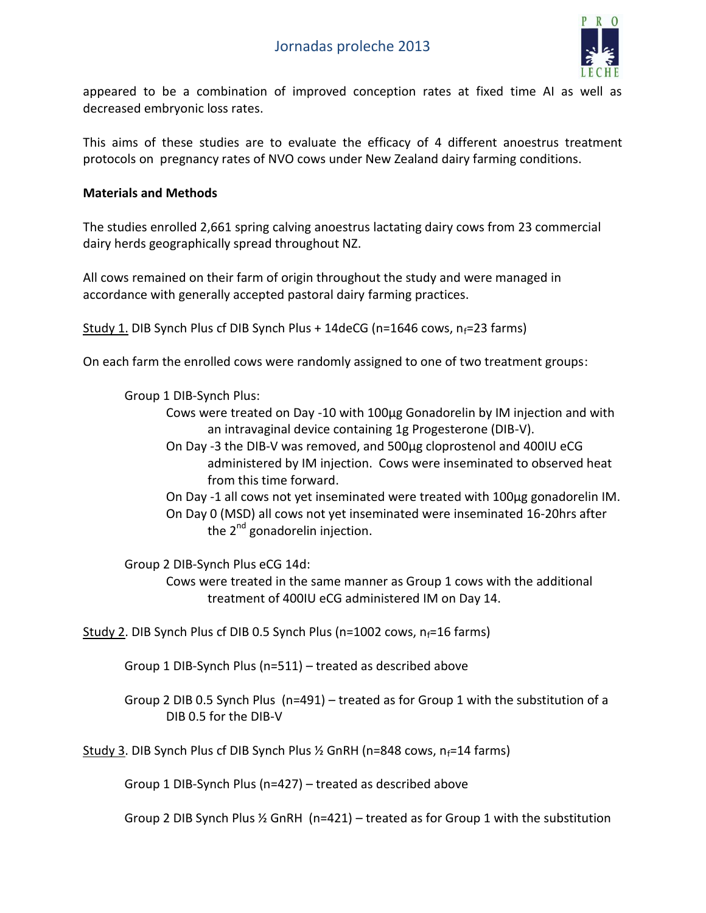

appeared to be a combination of improved conception rates at fixed time AI as well as decreased embryonic loss rates.

This aims of these studies are to evaluate the efficacy of 4 different anoestrus treatment protocols on pregnancy rates of NVO cows under New Zealand dairy farming conditions.

#### **Materials and Methods**

The studies enrolled 2,661 spring calving anoestrus lactating dairy cows from 23 commercial dairy herds geographically spread throughout NZ.

All cows remained on their farm of origin throughout the study and were managed in accordance with generally accepted pastoral dairy farming practices.

Study 1. DIB Synch Plus cf DIB Synch Plus + 14deCG (n=1646 cows,  $n_f$ =23 farms)

On each farm the enrolled cows were randomly assigned to one of two treatment groups:

Group 1 DIB-Synch Plus:

- Cows were treated on Day -10 with 100µg Gonadorelin by IM injection and with an intravaginal device containing 1g Progesterone (DIB-V).
- On Day -3 the DIB-V was removed, and 500µg cloprostenol and 400IU eCG administered by IM injection. Cows were inseminated to observed heat from this time forward.
- On Day -1 all cows not yet inseminated were treated with 100µg gonadorelin IM. On Day 0 (MSD) all cows not yet inseminated were inseminated 16-20hrs after the  $2^{nd}$  gonadorelin injection.

Group 2 DIB-Synch Plus eCG 14d:

Cows were treated in the same manner as Group 1 cows with the additional treatment of 400IU eCG administered IM on Day 14.

Study 2. DIB Synch Plus cf DIB 0.5 Synch Plus (n=1002 cows,  $n_f$ =16 farms)

Group 1 DIB-Synch Plus (n=511) – treated as described above

Group 2 DIB 0.5 Synch Plus (n=491) – treated as for Group 1 with the substitution of a DIB 0.5 for the DIB-V

Study 3. DIB Synch Plus cf DIB Synch Plus  $\frac{1}{2}$  GnRH (n=848 cows, n<sub>f</sub>=14 farms)

Group 1 DIB-Synch Plus (n=427) – treated as described above

Group 2 DIB Synch Plus  $\frac{1}{2}$  GnRH (n=421) – treated as for Group 1 with the substitution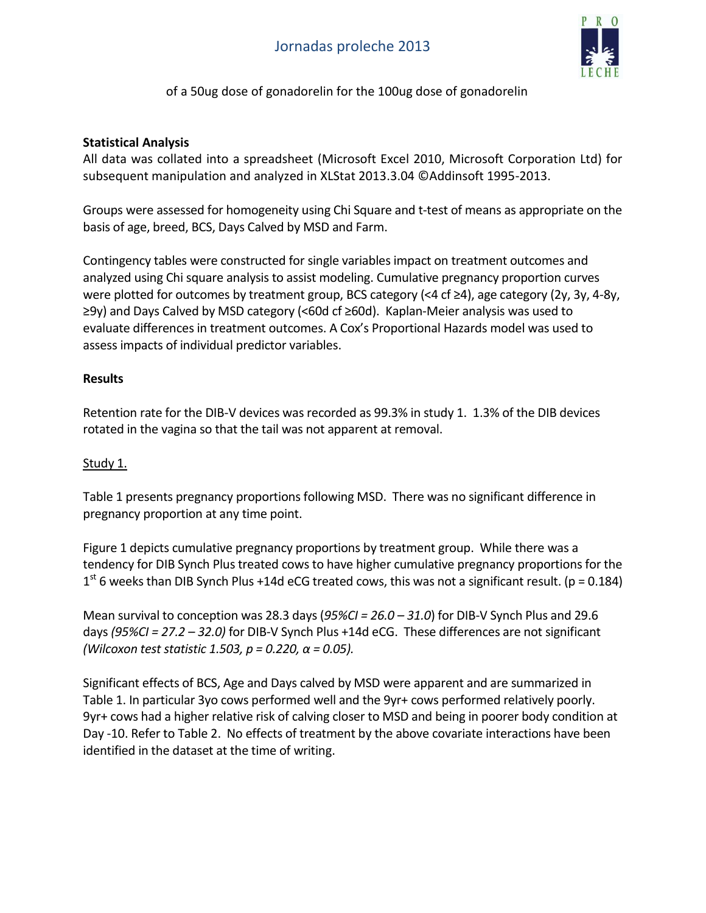

### of a 50ug dose of gonadorelin for the 100ug dose of gonadorelin

#### **Statistical Analysis**

All data was collated into a spreadsheet (Microsoft Excel 2010, Microsoft Corporation Ltd) for subsequent manipulation and analyzed in XLStat 2013.3.04 ©Addinsoft 1995-2013.

Groups were assessed for homogeneity using Chi Square and t-test of means as appropriate on the basis of age, breed, BCS, Days Calved by MSD and Farm.

Contingency tables were constructed for single variables impact on treatment outcomes and analyzed using Chi square analysis to assist modeling. Cumulative pregnancy proportion curves were plotted for outcomes by treatment group, BCS category (<4 cf ≥4), age category (2y, 3y, 4-8y, ≥9y) and Days Calved by MSD category (<60d cf ≥60d). Kaplan-Meier analysis was used to evaluate differences in treatment outcomes. A Cox's Proportional Hazards model was used to assess impacts of individual predictor variables.

#### **Results**

Retention rate for the DIB-V devices was recorded as 99.3% in study 1. 1.3% of the DIB devices rotated in the vagina so that the tail was not apparent at removal.

#### Study 1.

Table 1 presents pregnancy proportionsfollowing MSD. There was no significant difference in pregnancy proportion at any time point.

Figure 1 depicts cumulative pregnancy proportions by treatment group. While there was a tendency for DIB Synch Plus treated cows to have higher cumulative pregnancy proportions for the  $1<sup>st</sup>$  6 weeks than DIB Synch Plus +14d eCG treated cows, this was not a significant result. (p = 0.184)

Mean survival to conception was 28.3 days (*95%CI = 26.0 – 31.0*) for DIB-V Synch Plus and 29.6 days *(95%CI = 27.2 – 32.0)* for DIB-V Synch Plus +14d eCG. These differences are not significant *(Wilcoxon test statistic 1.503, p = 0.220, α = 0.05).*

Significant effects of BCS, Age and Days calved by MSD were apparent and are summarized in Table 1. In particular 3yo cows performed well and the 9yr+ cows performed relatively poorly. 9yr+ cows had a higher relative risk of calving closer to MSD and being in poorer body condition at Day -10. Refer to Table 2. No effects of treatment by the above covariate interactions have been identified in the dataset at the time of writing.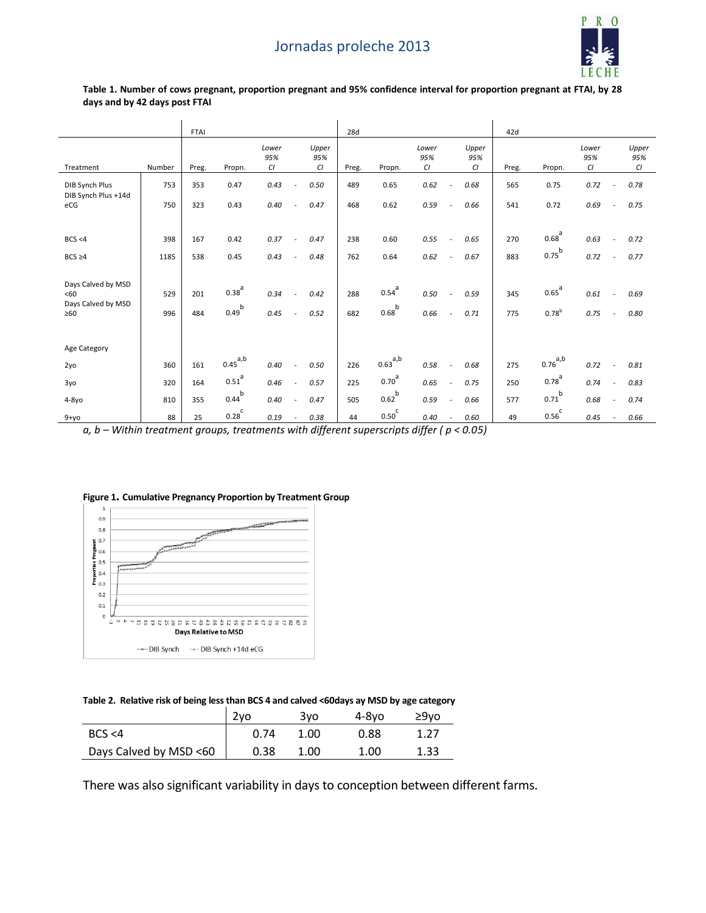

#### **Table 1. Number of cows pregnant, proportion pregnant and 95% confidence interval for proportion pregnant at FTAI, by 28 days and by 42 days post FTAI**

|                                                              |            | <b>FTAI</b> |                          |                    |                                          | 28d        |                        |                    |                                  | 42d        |                          |                    |                          |                    |
|--------------------------------------------------------------|------------|-------------|--------------------------|--------------------|------------------------------------------|------------|------------------------|--------------------|----------------------------------|------------|--------------------------|--------------------|--------------------------|--------------------|
| Treatment                                                    | Number     | Preg.       | Propn.                   | Lower<br>95%<br>CI | Upper<br>95%<br>CI                       | Preg.      | Propn.                 | Lower<br>95%<br>CI | Upper<br>95%<br>CI               | Preg.      | Propn.                   | Lower<br>95%<br>CI |                          | Upper<br>95%<br>CI |
| DIB Synch Plus                                               | 753        | 353         | 0.47                     | 0.43               | 0.50<br>$\overline{\phantom{a}}$         | 489        | 0.65                   | 0.62               | 0.68<br>÷,                       | 565        | 0.75                     | 0.72               |                          | 0.78               |
| DIB Synch Plus +14d<br>eCG                                   | 750        | 323         | 0.43                     | 0.40               | 0.47                                     | 468        | 0.62                   | 0.59               | 0.66<br>$\overline{a}$           | 541        | 0.72                     | 0.69               |                          | 0.75               |
| BCS < 4                                                      | 398        | 167         | 0.42                     | 0.37               | 0.47<br>$\blacksquare$                   | 238        | 0.60                   | 0.55               | 0.65<br>$\overline{\phantom{a}}$ | 270        | $0.68^{a}$               | 0.63               | $\overline{\phantom{a}}$ | 0.72               |
|                                                              |            |             |                          |                    |                                          |            |                        |                    |                                  |            |                          |                    |                          |                    |
| $BCS \geq 4$                                                 | 1185       | 538         | 0.45                     | 0.43               | 0.48<br>$\sim$                           | 762        | 0.64                   | 0.62               | 0.67<br>$\overline{\phantom{a}}$ | 883        | $0.75^{b}$               | 0.72               | $\overline{\phantom{a}}$ | 0.77               |
| Days Calved by MSD<br><60<br>Days Calved by MSD<br>$\geq 60$ | 529<br>996 | 201<br>484  | $0.38^{a}$<br>$0.49^{b}$ | 0.34<br>0.45       | 0.42<br>0.52<br>$\overline{\phantom{a}}$ | 288<br>682 | $0.54^{a}$<br>$0.68^b$ | 0.50<br>0.66       | 0.59<br>÷,<br>0.71<br>$\sim$     | 345<br>775 | $0.65^{a}$<br>$0.78^{b}$ | 0.61<br>0.75       | $\overline{\phantom{a}}$ | 0.69<br>0.80       |
| Age Category                                                 |            |             |                          |                    |                                          |            |                        |                    |                                  |            |                          |                    |                          |                    |
| 2yo                                                          | 360        | 161         | $0.45^{a,b}$             | 0.40               | 0.50                                     | 226        | $0.63^{a,b}$           | 0.58               | 0.68<br>$\overline{\phantom{a}}$ | 275        | $0.76^{a,b}$             | 0.72               |                          | 0.81               |
| 3yo                                                          | 320        | 164         | $0.51$ <sup>a</sup>      | 0.46               | 0.57                                     | 225        | $0.70^{a}$             | 0.65               | 0.75<br>$\overline{a}$           | 250        | $0.78^{a}$               | 0.74               |                          | 0.83               |
| $4-8yO$                                                      | 810        | 355         | $0.44^{b}$               | 0.40               | 0.47                                     | 505        | $0.62^b$               | 0.59               | 0.66<br>$\overline{\phantom{a}}$ | 577        | b<br>0.71                | 0.68               |                          | 0.74               |
| $9 + yo$                                                     | 88         | 25          | $0.28^C$                 | 0.19               | 0.38                                     | 44         | 0.50 <sup>c</sup>      | 0.40               | 0.60<br>$\overline{\phantom{a}}$ | 49         | $0.56^C$                 | 0.45               |                          | 0.66               |

*a, b – Within treatment groups, treatments with different superscripts differ ( p < 0.05)*



#### **Figure 1. Cumulative Pregnancy Proportion by Treatment Group**

#### **Table 2. Relative risk of being less than BCS 4 and calved <60days ay MSD by age category**

|                        | 2vo  | 3vo  | 4-8vo | $29$ vo |
|------------------------|------|------|-------|---------|
| BCS < 4                | 0.74 | 1.00 | 0.88  |         |
| Days Calved by MSD <60 | 0.38 | 1.00 | 1.00  | 1.33    |

There was also significant variability in days to conception between different farms.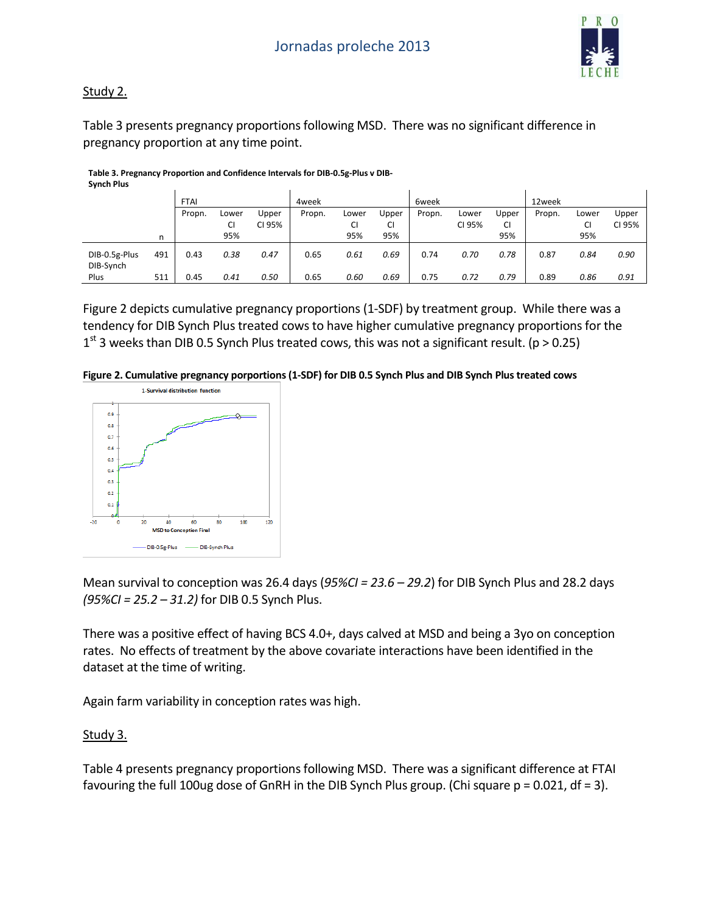

### Study 2.

Table 3 presents pregnancy proportions following MSD. There was no significant difference in pregnancy proportion at any time point.

|                            |     | <b>FTAI</b> |       |        | 4 <sub>week</sub> |       |       | 6week  |        |           | 12week |       |        |
|----------------------------|-----|-------------|-------|--------|-------------------|-------|-------|--------|--------|-----------|--------|-------|--------|
|                            |     | Propn.      | Lower | Upper  | Propn.            | Lower | Upper | Propn. | Lower  | Upper     | Propn. | Lower | Upper  |
|                            |     |             | CI    | CI 95% |                   | CI    | CI    |        | CI 95% | <b>CI</b> |        | CI    | CI 95% |
|                            | n   |             | 95%   |        |                   | 95%   | 95%   |        |        | 95%       |        | 95%   |        |
| DIB-0.5g-Plus<br>DIB-Synch | 491 | 0.43        | 0.38  | 0.47   | 0.65              | 0.61  | 0.69  | 0.74   | 0.70   | 0.78      | 0.87   | 0.84  | 0.90   |
| Plus                       | 511 | 0.45        | 0.41  | 0.50   | 0.65              | 0.60  | 0.69  | 0.75   | 0.72   | 0.79      | 0.89   | 0.86  | 0.91   |

**Table 3. Pregnancy Proportion and Confidence Intervals for DIB-0.5g-Plus v DIB-Synch Plus**

Figure 2 depicts cumulative pregnancy proportions (1-SDF) by treatment group. While there was a tendency for DIB Synch Plus treated cows to have higher cumulative pregnancy proportions for the  $1<sup>st</sup>$  3 weeks than DIB 0.5 Synch Plus treated cows, this was not a significant result. (p > 0.25)

**Figure 2. Cumulative pregnancy porportions(1-SDF) for DIB 0.5 Synch Plus and DIB Synch Plus treated cows**



Mean survival to conception was 26.4 days (*95%CI = 23.6 – 29.2*) for DIB Synch Plus and 28.2 days *(95%CI = 25.2 – 31.2)* for DIB 0.5 Synch Plus.

There was a positive effect of having BCS 4.0+, days calved at MSD and being a 3yo on conception rates. No effects of treatment by the above covariate interactions have been identified in the dataset at the time of writing.

Again farm variability in conception rates was high.

#### Study 3.

Table 4 presents pregnancy proportions following MSD. There was a significant difference at FTAI favouring the full 100ug dose of GnRH in the DIB Synch Plus group. (Chi square  $p = 0.021$ , df = 3).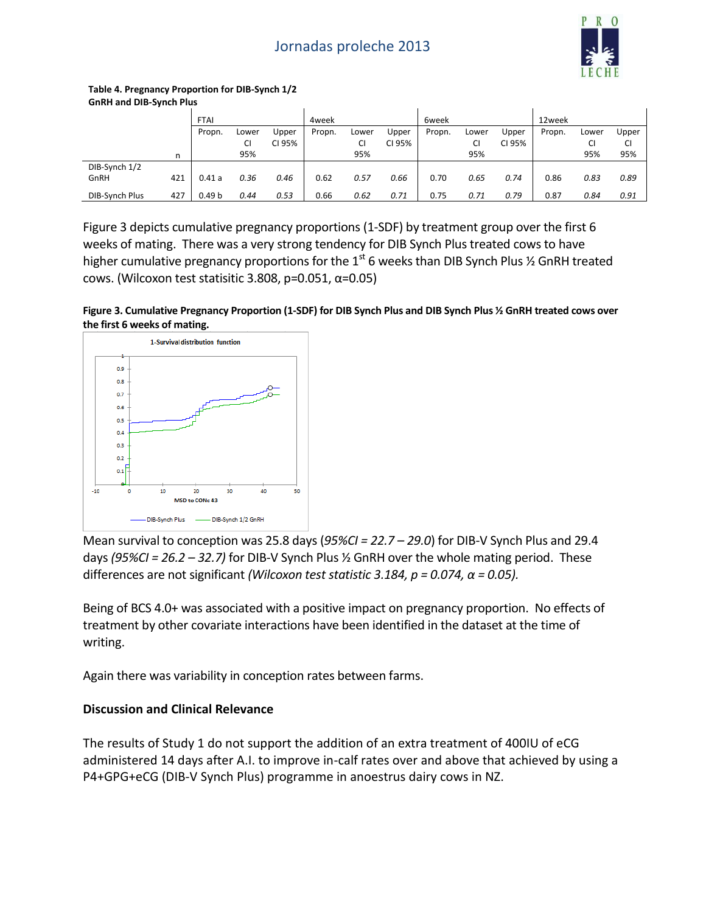## Jornadas proleche 2013



#### **Table 4. Pregnancy Proportion for DIB-Synch 1/2 GnRH and DIB-Synch Plus**

|                |     | <b>FTAI</b>       |       |        | 4week  |       |        | 6week  |       |        | 12week |       |       |
|----------------|-----|-------------------|-------|--------|--------|-------|--------|--------|-------|--------|--------|-------|-------|
|                |     | Propn.            | Lower | Upper  | Propn. | Lower | Upper  | Propn. | Lower | Upper  | Propn. | Lower | Upper |
|                |     |                   | СI    | CI 95% |        | СI    | CI 95% |        | CI    | CI 95% |        | CI    | CI    |
|                | n   |                   | 95%   |        |        | 95%   |        |        | 95%   |        |        | 95%   | 95%   |
| DIB-Synch 1/2  |     |                   |       |        |        |       |        |        |       |        |        |       |       |
| GnRH           | 421 | 0.41a             | 0.36  | 0.46   | 0.62   | 0.57  | 0.66   | 0.70   | 0.65  | 0.74   | 0.86   | 0.83  | 0.89  |
| DIB-Synch Plus | 427 | 0.49 <sub>b</sub> | 0.44  | 0.53   | 0.66   | 0.62  | 0.71   | 0.75   | 0.71  | 0.79   | 0.87   | 0.84  | 0.91  |

Figure 3 depicts cumulative pregnancy proportions (1-SDF) by treatment group over the first 6 weeks of mating. There was a very strong tendency for DIB Synch Plus treated cows to have higher cumulative pregnancy proportions for the  $1<sup>st</sup>$  6 weeks than DIB Synch Plus  $\frac{1}{2}$  GnRH treated cows. (Wilcoxon test statisitic 3.808, p=0.051, α=0.05)





Mean survival to conception was 25.8 days (*95%CI = 22.7 – 29.0*) for DIB-V Synch Plus and 29.4 days *(95%CI = 26.2 – 32.7)* for DIB-V Synch Plus ½ GnRH over the whole mating period. These differences are not significant *(Wilcoxon test statistic 3.184, p = 0.074, α = 0.05).*

Being of BCS 4.0+ was associated with a positive impact on pregnancy proportion. No effects of treatment by other covariate interactions have been identified in the dataset at the time of writing.

Again there was variability in conception rates between farms.

#### **Discussion and Clinical Relevance**

The results of Study 1 do not support the addition of an extra treatment of 400IU of eCG administered 14 days after A.I. to improve in-calf rates over and above that achieved by using a P4+GPG+eCG (DIB-V Synch Plus) programme in anoestrus dairy cows in NZ.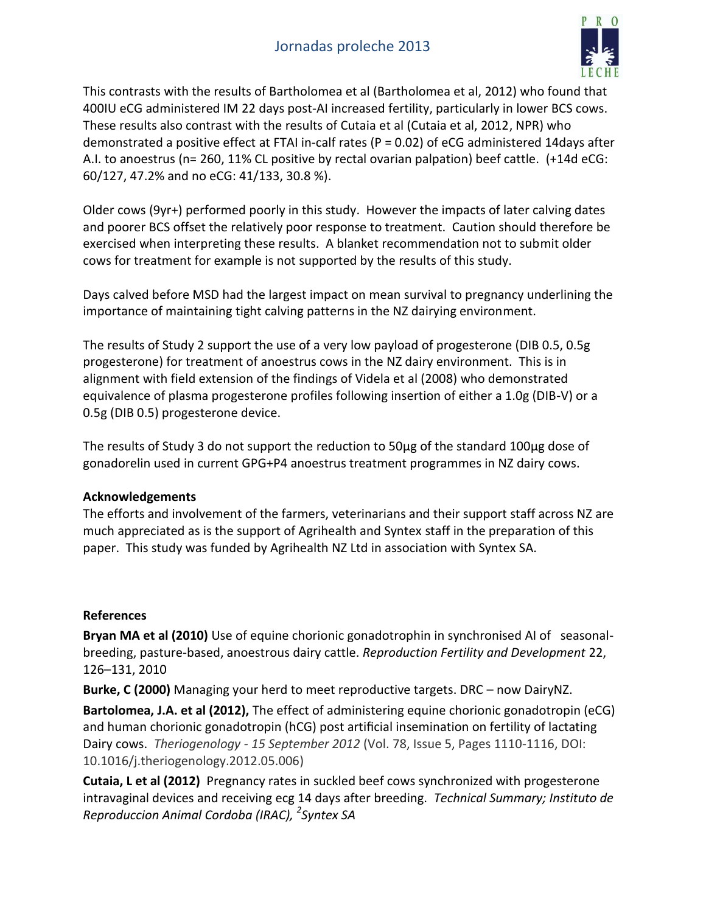## Jornadas proleche 2013



This contrasts with the results of Bartholomea et al (Bartholomea et al, 2012) who found that 400IU eCG administered IM 22 days post-AI increased fertility, particularly in lower BCS cows. These results also contrast with the results of Cutaia et al (Cutaia et al, 2012, NPR) who demonstrated a positive effect at FTAI in-calf rates (P = 0.02) of eCG administered 14days after A.I. to anoestrus (n= 260, 11% CL positive by rectal ovarian palpation) beef cattle. (+14d eCG: 60/127, 47.2% and no eCG: 41/133, 30.8 %).

Older cows (9yr+) performed poorly in this study. However the impacts of later calving dates and poorer BCS offset the relatively poor response to treatment. Caution should therefore be exercised when interpreting these results. A blanket recommendation not to submit older cows for treatment for example is not supported by the results of this study.

Days calved before MSD had the largest impact on mean survival to pregnancy underlining the importance of maintaining tight calving patterns in the NZ dairying environment.

The results of Study 2 support the use of a very low payload of progesterone (DIB 0.5, 0.5g progesterone) for treatment of anoestrus cows in the NZ dairy environment. This is in alignment with field extension of the findings of Videla et al (2008) who demonstrated equivalence of plasma progesterone profiles following insertion of either a 1.0g (DIB-V) or a 0.5g (DIB 0.5) progesterone device.

The results of Study 3 do not support the reduction to 50µg of the standard 100µg dose of gonadorelin used in current GPG+P4 anoestrus treatment programmes in NZ dairy cows.

#### **Acknowledgements**

The efforts and involvement of the farmers, veterinarians and their support staff across NZ are much appreciated as is the support of Agrihealth and Syntex staff in the preparation of this paper. This study was funded by Agrihealth NZ Ltd in association with Syntex SA.

#### **References**

**Bryan MA et al (2010)** Use of equine chorionic gonadotrophin in synchronised AI of seasonalbreeding, pasture-based, anoestrous dairy cattle. *Reproduction Fertility and Development* 22, 126–131, 2010

**Burke, C (2000)** Managing your herd to meet reproductive targets. DRC – now DairyNZ.

**Bartolomea, J.A. et al (2012),** The effect of administering equine chorionic gonadotropin (eCG) and human chorionic gonadotropin (hCG) post artificial insemination on fertility of lactating Dairy cows. *Theriogenology - 15 September 2012* (Vol. 78, Issue 5, Pages 1110-1116, DOI: 10.1016/j.theriogenology.2012.05.006)

**Cutaia, L et al (2012)** Pregnancy rates in suckled beef cows synchronized with progesterone intravaginal devices and receiving ecg 14 days after breeding. *Technical Summary; Instituto de Reproduccion Animal Cordoba (IRAC), <sup>2</sup> Syntex SA*